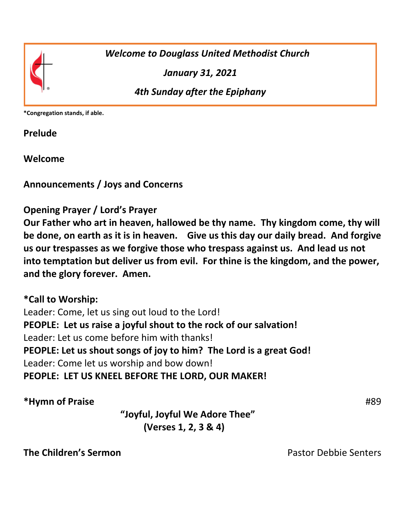

 *Welcome to Douglass United Methodist Church*

*January 31, 2021*

*4th Sunday after the Epiphany*

**\*Congregation stands, if able.**

**Prelude**

**Welcome** 

**Announcements / Joys and Concerns** 

# **Opening Prayer / Lord's Prayer**

**Our Father who art in heaven, hallowed be thy name. Thy kingdom come, thy will be done, on earth as it is in heaven. Give us this day our daily bread. And forgive us our trespasses as we forgive those who trespass against us. And lead us not into temptation but deliver us from evil. For thine is the kingdom, and the power, and the glory forever. Amen.**

#### **\*Call to Worship:**

Leader: Come, let us sing out loud to the Lord! **PEOPLE: Let us raise a joyful shout to the rock of our salvation!**  Leader: Let us come before him with thanks! **PEOPLE: Let us shout songs of joy to him? The Lord is a great God!** Leader: Come let us worship and bow down! **PEOPLE: LET US KNEEL BEFORE THE LORD, OUR MAKER!** 

**\*Hymn of Praise** #89

 **"Joyful, Joyful We Adore Thee" (Verses 1, 2, 3 & 4)**

**The Children's Sermon**<br> **The Children's Sermon**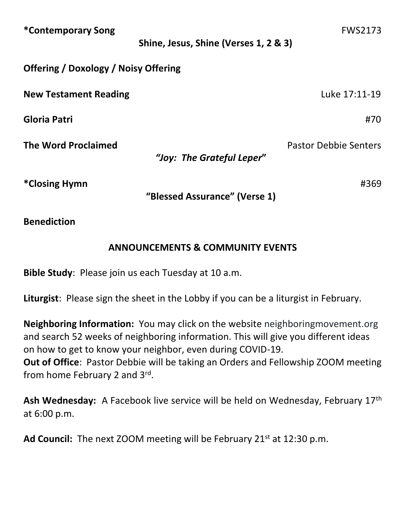| *Contemporary Song                          | Shine, Jesus, Shine (Verses 1, 2 & 3) | <b>FWS2173</b>               |
|---------------------------------------------|---------------------------------------|------------------------------|
| <b>Offering / Doxology / Noisy Offering</b> |                                       |                              |
| <b>New Testament Reading</b>                |                                       | Luke 17:11-19                |
| Gloria Patri                                |                                       | #70                          |
| <b>The Word Proclaimed</b>                  | "Joy: The Grateful Leper"             | <b>Pastor Debbie Senters</b> |
| *Closing Hymn                               | "Blessed Assurance" (Verse 1)         | #369                         |

**Benediction**

# **ANNOUNCEMENTS & COMMUNITY EVENTS**

**Bible Study**: Please join us each Tuesday at 10 a.m.

**Liturgist**: Please sign the sheet in the Lobby if you can be a liturgist in February.

**Neighboring Information:** You may click on the website neighboringmovement.org and search 52 weeks of neighboring information. This will give you different ideas on how to get to know your neighbor, even during COVID-19. **Out of Office**: Pastor Debbie will be taking an Orders and Fellowship ZOOM meeting from home February 2 and 3<sup>rd</sup>.

**Ash Wednesday:** A Facebook live service will be held on Wednesday, February 17th at 6:00 p.m.

**Ad Council:** The next ZOOM meeting will be February 21st at 12:30 p.m.